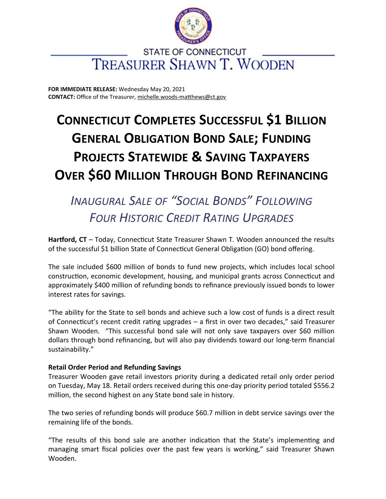

### **STATE OF CONNECTICUT TREASURER SHAWN T. WOODEN**

**FOR IMMEDIATE RELEASE:** Wednesday May 20, 2021 **CONTACT:** Office of the Treasurer, [michelle.woods-matthews@ct.gov](mailto:michelle.woods-matthews@ct.gov)

# **CONNECTICUT COMPLETES SUCCESSFUL \$1 BILLION GENERAL OBLIGATION BOND SALE; FUNDING PROJECTS STATEWIDE & SAVING TAXPAYERS OVER \$60 MILLION THROUGH BOND REFINANCING**

## *INAUGURAL SALE OF "SOCIAL BONDS" FOLLOWING FOUR HISTORIC CREDIT RATING UPGRADES*

**Hartford, CT** – Today, Connecticut State Treasurer Shawn T. Wooden announced the results of the successful \$1 billion State of Connecticut General Obligation (GO) bond offering.

The sale included \$600 million of bonds to fund new projects, which includes local school construction, economic development, housing, and municipal grants across Connecticut and approximately \$400 million of refunding bonds to refinance previously issued bonds to lower interest rates for savings.

"The ability for the State to sell bonds and achieve such a low cost of funds is a direct result of Connecticut's recent credit rating upgrades – a first in over two decades," said Treasurer Shawn Wooden. "This successful bond sale will not only save taxpayers over \$60 million dollars through bond refinancing, but will also pay dividends toward our long-term financial sustainability."

#### **Retail Order Period and Refunding Savings**

Treasurer Wooden gave retail investors priority during a dedicated retail only order period on Tuesday, May 18. Retail orders received during this one-day priority period totaled \$556.2 million, the second highest on any State bond sale in history.

The two series of refunding bonds will produce \$60.7 million in debt service savings over the remaining life of the bonds.

"The results of this bond sale are another indication that the State's implementing and managing smart fiscal policies over the past few years is working," said Treasurer Shawn Wooden.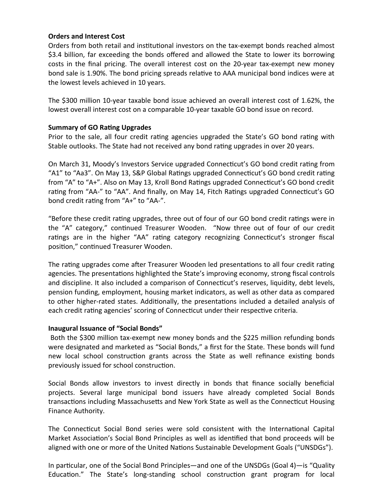#### **Orders and Interest Cost**

Orders from both retail and institutional investors on the tax-exempt bonds reached almost \$3.4 billion, far exceeding the bonds offered and allowed the State to lower its borrowing costs in the final pricing. The overall interest cost on the 20-year tax-exempt new money bond sale is 1.90%. The bond pricing spreads relative to AAA municipal bond indices were at the lowest levels achieved in 10 years.

The \$300 million 10-year taxable bond issue achieved an overall interest cost of 1.62%, the lowest overall interest cost on a comparable 10-year taxable GO bond issue on record.

#### **Summary of GO Rating Upgrades**

Prior to the sale, all four credit rating agencies upgraded the State's GO bond rating with Stable outlooks. The State had not received any bond rating upgrades in over 20 years.

On March 31, Moody's Investors Service upgraded Connecticut's GO bond credit rating from "A1" to "Aa3". On May 13, S&P Global Ratings upgraded Connecticut's GO bond credit rating from "A" to "A+". Also on May 13, Kroll Bond Ratings upgraded Connecticut's GO bond credit rating from "AA-" to "AA". And finally, on May 14, Fitch Ratings upgraded Connecticut's GO bond credit rating from "A+" to "AA-".

"Before these credit rating upgrades, three out of four of our GO bond credit ratings were in the "A" category," continued Treasurer Wooden. "Now three out of four of our credit ratings are in the higher "AA" rating category recognizing Connecticut's stronger fiscal position," continued Treasurer Wooden.

The rating upgrades come after Treasurer Wooden led presentations to all four credit rating agencies. The presentations highlighted the State's improving economy, strong fiscal controls and discipline. It also included a comparison of Connecticut's reserves, liquidity, debt levels, pension funding, employment, housing market indicators, as well as other data as compared to other higher-rated states. Additionally, the presentations included a detailed analysis of each credit rating agencies' scoring of Connecticut under their respective criteria.

#### **Inaugural Issuance of "Social Bonds"**

Both the \$300 million tax-exempt new money bonds and the \$225 million refunding bonds were designated and marketed as "Social Bonds," a first for the State. These bonds will fund new local school construction grants across the State as well refinance existing bonds previously issued for school construction.

Social Bonds allow investors to invest directly in bonds that finance socially beneficial projects. Several large municipal bond issuers have already completed Social Bonds transactions including Massachusetts and New York State as well as the Connecticut Housing Finance Authority.

The Connecticut Social Bond series were sold consistent with the International Capital Market Association's Social Bond Principles as well as identified that bond proceeds will be aligned with one or more of the United Nations Sustainable Development Goals ("UNSDGs").

In particular, one of the Social Bond Principles—and one of the UNSDGs (Goal 4)—is "Quality Education." The State's long-standing school construction grant program for local